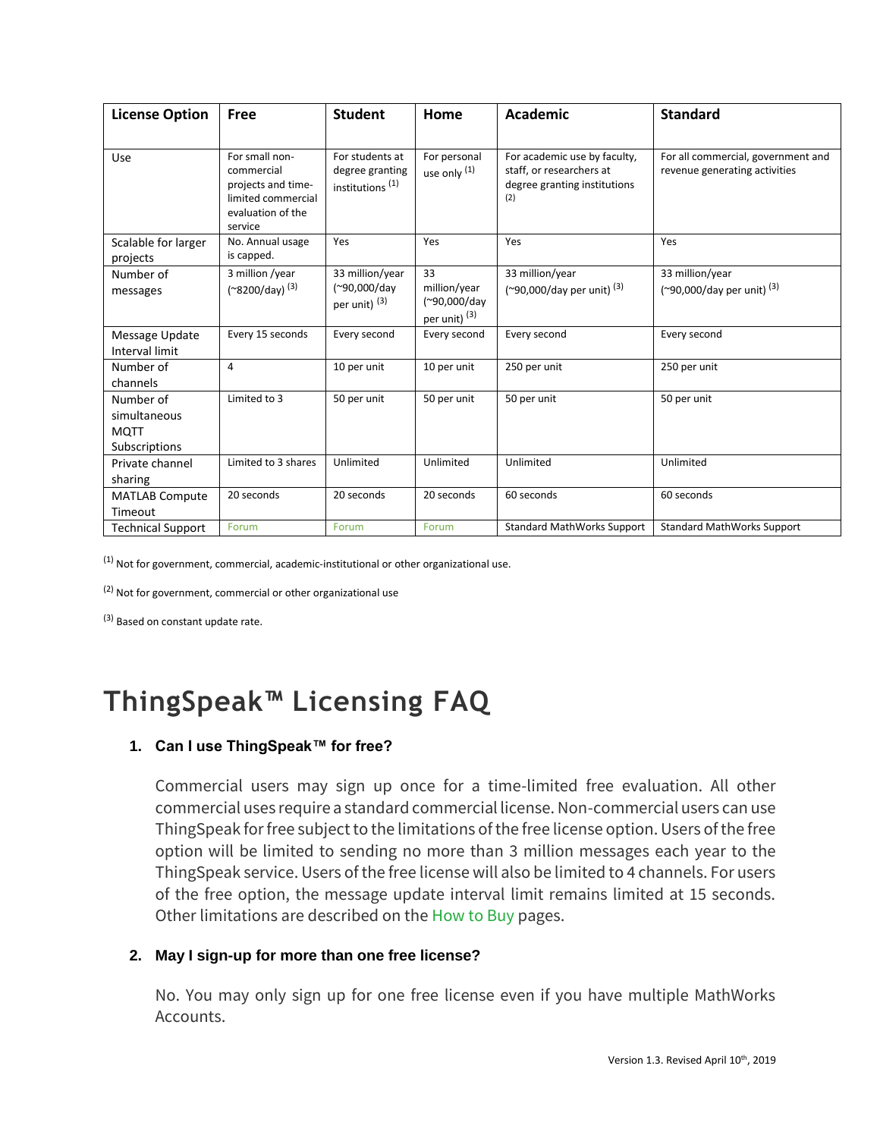| <b>License Option</b>                                     | <b>Free</b>                                                                                              | <b>Student</b>                                                    | Home                                                           | Academic                                                                                        | <b>Standard</b>                                                     |
|-----------------------------------------------------------|----------------------------------------------------------------------------------------------------------|-------------------------------------------------------------------|----------------------------------------------------------------|-------------------------------------------------------------------------------------------------|---------------------------------------------------------------------|
| Use                                                       | For small non-<br>commercial<br>projects and time-<br>limited commercial<br>evaluation of the<br>service | For students at<br>degree granting<br>institutions <sup>(1)</sup> | For personal<br>use only (1)                                   | For academic use by faculty,<br>staff, or researchers at<br>degree granting institutions<br>(2) | For all commercial, government and<br>revenue generating activities |
| Scalable for larger<br>projects                           | No. Annual usage<br>is capped.                                                                           | Yes                                                               | Yes                                                            | Yes                                                                                             | Yes                                                                 |
| Number of<br>messages                                     | 3 million /year<br>(~8200/day) <sup>(3)</sup>                                                            | 33 million/year<br>(~90,000/day<br>per unit) <sup>(3)</sup>       | 33<br>million/year<br>(~90,000/day<br>per unit) <sup>(3)</sup> | 33 million/year<br>$(290,000$ /day per unit) $(3)$                                              | 33 million/year<br>(~90,000/day per unit) <sup>(3)</sup>            |
| Message Update<br>Interval limit                          | Every 15 seconds                                                                                         | Every second                                                      | Every second                                                   | Every second                                                                                    | Every second                                                        |
| Number of<br>channels                                     | 4                                                                                                        | 10 per unit                                                       | 10 per unit                                                    | 250 per unit                                                                                    | 250 per unit                                                        |
| Number of<br>simultaneous<br><b>MOTT</b><br>Subscriptions | Limited to 3                                                                                             | 50 per unit                                                       | 50 per unit                                                    | 50 per unit                                                                                     | 50 per unit                                                         |
| Private channel<br>sharing                                | Limited to 3 shares                                                                                      | Unlimited                                                         | Unlimited                                                      | Unlimited                                                                                       | Unlimited                                                           |
| <b>MATLAB Compute</b><br>Timeout                          | 20 seconds                                                                                               | 20 seconds                                                        | 20 seconds                                                     | 60 seconds                                                                                      | 60 seconds                                                          |
| <b>Technical Support</b>                                  | Forum                                                                                                    | Forum                                                             | Forum                                                          | <b>Standard MathWorks Support</b>                                                               | <b>Standard MathWorks Support</b>                                   |

 $(1)$  Not for government, commercial, academic-institutional or other organizational use.

(2) Not for government, commercial or other organizational use

(3) Based on constant update rate.

# **ThingSpeak™ Licensing FAQ**

## **1. Can I use ThingSpeak™ for free?**

Commercial users may sign up once for a time-limited free evaluation. All other commercial uses require a standard commercial license. Non-commercial users can use ThingSpeak for free subject to the limitations of the free license option. Users of the free option will be limited to sending no more than 3 million messages each year to the ThingSpeak service. Users of the free license will also be limited to 4 channels. For users of the free option, the message update interval limit remains limited at 15 seconds. Other limitations are described on the [How to Buy](https://thingspeak.com/prices) pages.

## **2. May I sign-up for more than one free license?**

No. You may only sign up for one free license even if you have multiple MathWorks Accounts.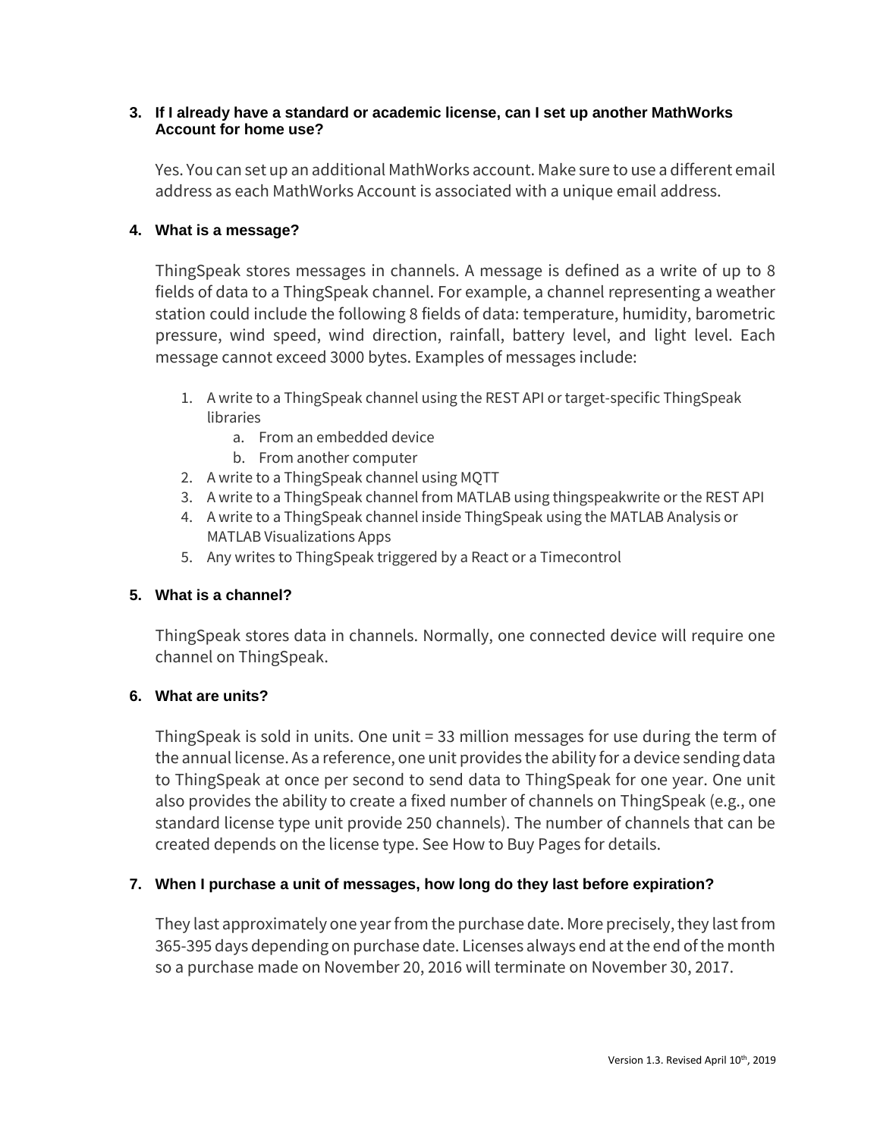#### **3. If I already have a standard or academic license, can I set up another MathWorks Account for home use?**

Yes. You can set up an additional MathWorks account. Make sure to use a different email address as each MathWorks Account is associated with a unique email address.

# **4. What is a message?**

ThingSpeak stores messages in channels. A message is defined as a write of up to 8 fields of data to a ThingSpeak channel. For example, a channel representing a weather station could include the following 8 fields of data: temperature, humidity, barometric pressure, wind speed, wind direction, rainfall, battery level, and light level. Each message cannot exceed 3000 bytes. Examples of messages include:

- 1. A write to a ThingSpeak channel using the REST API or target-specific ThingSpeak libraries
	- a. From an embedded device
	- b. From another computer
- 2. A write to a ThingSpeak channel using MQTT
- 3. A write to a ThingSpeak channel from MATLAB using thingspeakwrite or the REST API
- 4. A write to a ThingSpeak channel inside ThingSpeak using the MATLAB Analysis or MATLAB Visualizations Apps
- 5. Any writes to ThingSpeak triggered by a React or a Timecontrol

# **5. What is a channel?**

ThingSpeak stores data in channels. Normally, one connected device will require one channel on ThingSpeak.

# **6. What are units?**

ThingSpeak is sold in units. One unit = 33 million messages for use during the term of the annual license. As a reference, one unit provides the ability for a device sending data to ThingSpeak at once per second to send data to ThingSpeak for one year. One unit also provides the ability to create a fixed number of channels on ThingSpeak (e.g., one standard license type unit provide 250 channels). The number of channels that can be created depends on the license type. See How to Buy Pages for details.

# **7. When I purchase a unit of messages, how long do they last before expiration?**

They last approximately one year from the purchase date. More precisely, they last from 365-395 days depending on purchase date. Licenses always end at the end of the month so a purchase made on November 20, 2016 will terminate on November 30, 2017.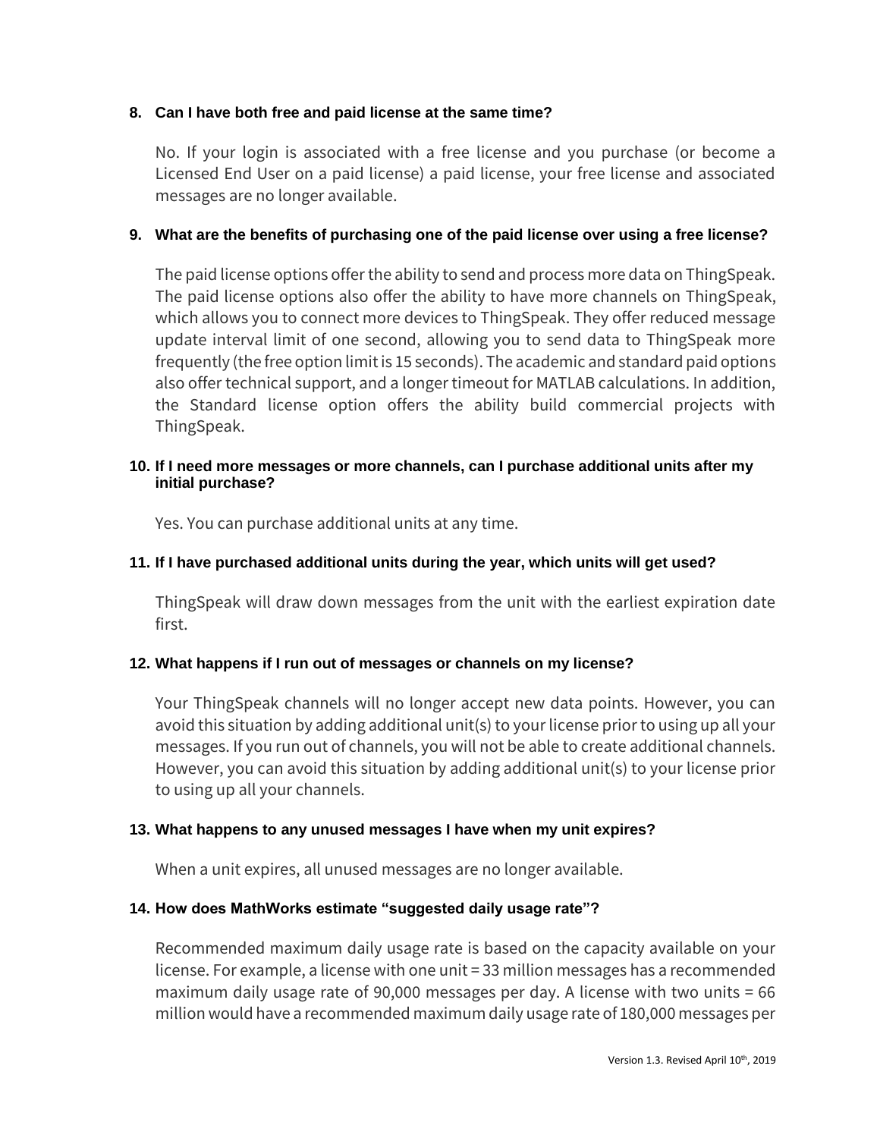## **8. Can I have both free and paid license at the same time?**

No. If your login is associated with a free license and you purchase (or become a Licensed End User on a paid license) a paid license, your free license and associated messages are no longer available.

## **9. What are the benefits of purchasing one of the paid license over using a free license?**

The paid license options offer the ability to send and process more data on ThingSpeak. The paid license options also offer the ability to have more channels on ThingSpeak, which allows you to connect more devices to ThingSpeak. They offer reduced message update interval limit of one second, allowing you to send data to ThingSpeak more frequently (the free option limit is 15 seconds). The academic and standard paid options also offer technical support, and a longer timeout for MATLAB calculations. In addition, the Standard license option offers the ability build commercial projects with ThingSpeak.

#### **10. If I need more messages or more channels, can I purchase additional units after my initial purchase?**

Yes. You can purchase additional units at any time.

## **11. If I have purchased additional units during the year, which units will get used?**

ThingSpeak will draw down messages from the unit with the earliest expiration date first.

## **12. What happens if I run out of messages or channels on my license?**

Your ThingSpeak channels will no longer accept new data points. However, you can avoid this situation by adding additional unit(s) to your license prior to using up all your messages. If you run out of channels, you will not be able to create additional channels. However, you can avoid this situation by adding additional unit(s) to your license prior to using up all your channels.

## **13. What happens to any unused messages I have when my unit expires?**

When a unit expires, all unused messages are no longer available.

## **14. How does MathWorks estimate "suggested daily usage rate"?**

Recommended maximum daily usage rate is based on the capacity available on your license. For example, a license with one unit = 33 million messages has a recommended maximum daily usage rate of 90,000 messages per day. A license with two units = 66 million would have a recommended maximum daily usage rate of 180,000 messages per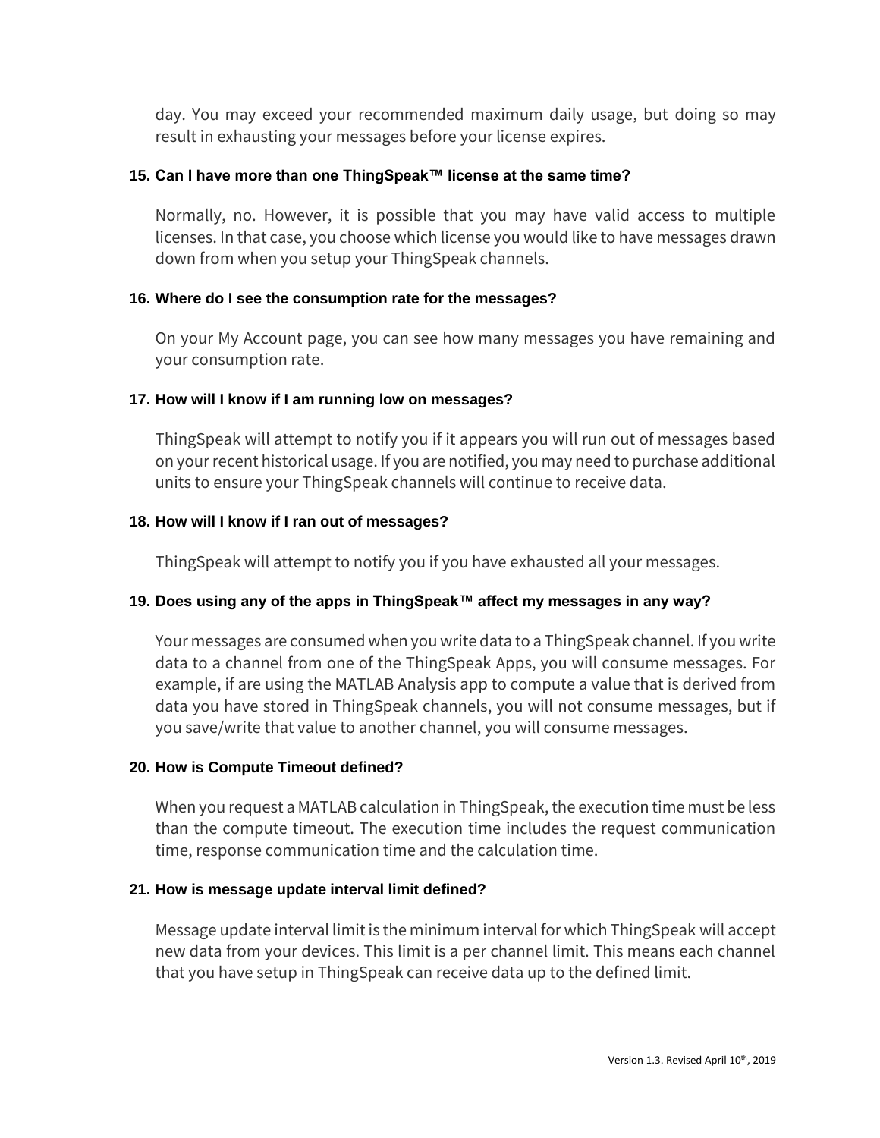day. You may exceed your recommended maximum daily usage, but doing so may result in exhausting your messages before your license expires.

## **15. Can I have more than one ThingSpeak™ license at the same time?**

Normally, no. However, it is possible that you may have valid access to multiple licenses. In that case, you choose which license you would like to have messages drawn down from when you setup your ThingSpeak channels.

# **16. Where do I see the consumption rate for the messages?**

On your My Account page, you can see how many messages you have remaining and your consumption rate.

# **17. How will I know if I am running low on messages?**

ThingSpeak will attempt to notify you if it appears you will run out of messages based on your recent historical usage. If you are notified, you may need to purchase additional units to ensure your ThingSpeak channels will continue to receive data.

# **18. How will I know if I ran out of messages?**

ThingSpeak will attempt to notify you if you have exhausted all your messages.

# **19. Does using any of the apps in ThingSpeak™ affect my messages in any way?**

Your messages are consumed when you write data to a ThingSpeak channel. If you write data to a channel from one of the ThingSpeak Apps, you will consume messages. For example, if are using the MATLAB Analysis app to compute a value that is derived from data you have stored in ThingSpeak channels, you will not consume messages, but if you save/write that value to another channel, you will consume messages.

# **20. How is Compute Timeout defined?**

When you request a MATLAB calculation in ThingSpeak, the execution time must be less than the compute timeout. The execution time includes the request communication time, response communication time and the calculation time.

## **21. How is message update interval limit defined?**

Message update interval limit is the minimum interval for which ThingSpeak will accept new data from your devices. This limit is a per channel limit. This means each channel that you have setup in ThingSpeak can receive data up to the defined limit.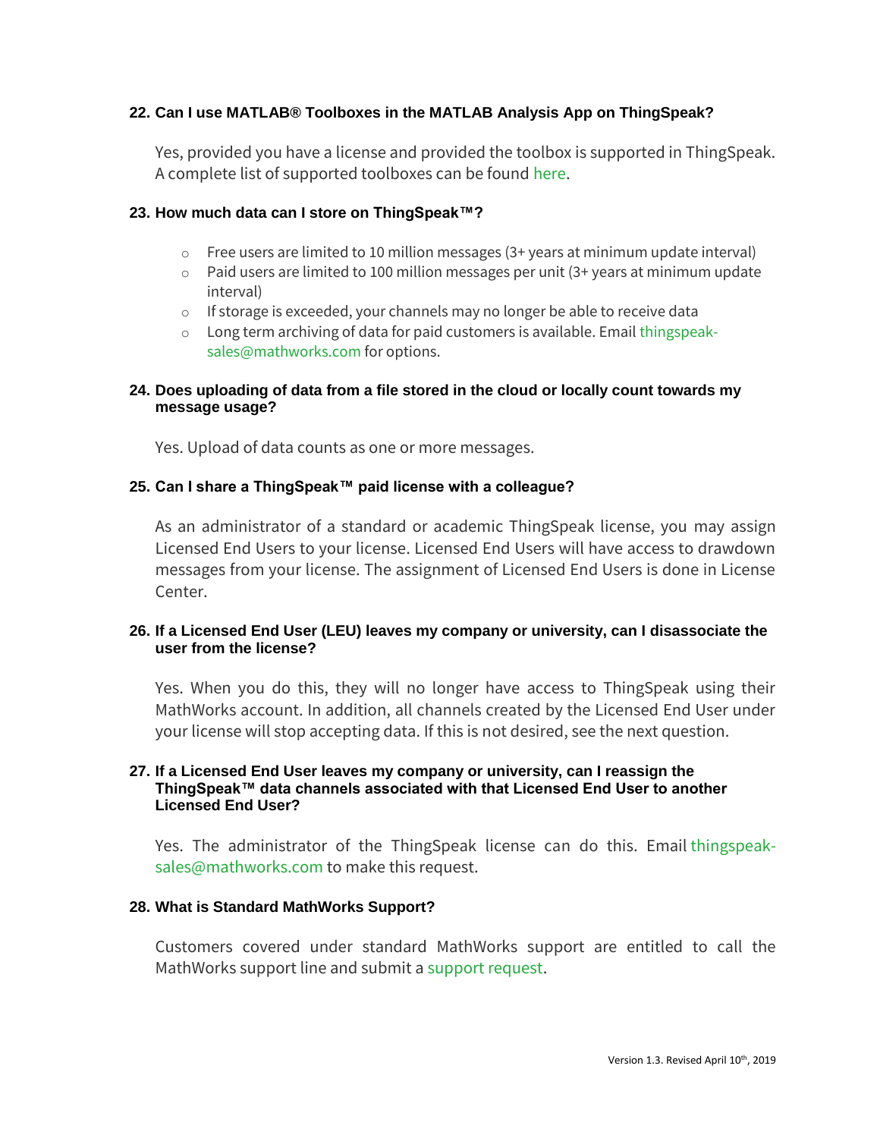## **22. Can I use MATLAB® Toolboxes in the MATLAB Analysis App on ThingSpeak?**

Yes, provided you have a license and provided the toolbox is supported in ThingSpeak. A complete list of supported toolboxes can be found [here.](https://www.mathworks.com/help/thingspeak/matlab-toolbox-access.html)

#### **23. How much data can I store on ThingSpeak™?**

- o Free users are limited to 10 million messages (3+ years at minimum update interval)
- $\circ$  Paid users are limited to 100 million messages per unit (3+ years at minimum update interval)
- $\circ$  If storage is exceeded, your channels may no longer be able to receive data
- o Long term archiving of data for paid customers is available. Email [thingspeak](mailto:thingspeak-sales@mathworks.com?Subject=Long-term%20archiving%20of%20data%20on%20ThingSpeak)[sales@mathworks.com](mailto:thingspeak-sales@mathworks.com?Subject=Long-term%20archiving%20of%20data%20on%20ThingSpeak) for options.

#### **24. Does uploading of data from a file stored in the cloud or locally count towards my message usage?**

Yes. Upload of data counts as one or more messages.

#### **25. Can I share a ThingSpeak™ paid license with a colleague?**

As an administrator of a standard or academic ThingSpeak license, you may assign Licensed End Users to your license. Licensed End Users will have access to drawdown messages from your license. The assignment of Licensed End Users is done in License Center.

#### **26. If a Licensed End User (LEU) leaves my company or university, can I disassociate the user from the license?**

Yes. When you do this, they will no longer have access to ThingSpeak using their MathWorks account. In addition, all channels created by the Licensed End User under your license will stop accepting data. If this is not desired, see the next question.

#### **27. If a Licensed End User leaves my company or university, can I reassign the ThingSpeak™ data channels associated with that Licensed End User to another Licensed End User?**

Yes. The administrator of the ThingSpeak license can do this. Email [thingspeak](mailto:thingspeak-sales@mathworks.com?Subject=Need%20to%20reassign%20ThingSpeak%20license)[sales@mathworks.com](mailto:thingspeak-sales@mathworks.com?Subject=Need%20to%20reassign%20ThingSpeak%20license) to make this request.

#### **28. What is Standard MathWorks Support?**

Customers covered under standard MathWorks support are entitled to call the MathWorks support line and submit a [support request.](https://www.mathworks.com/support/contact_us.html)